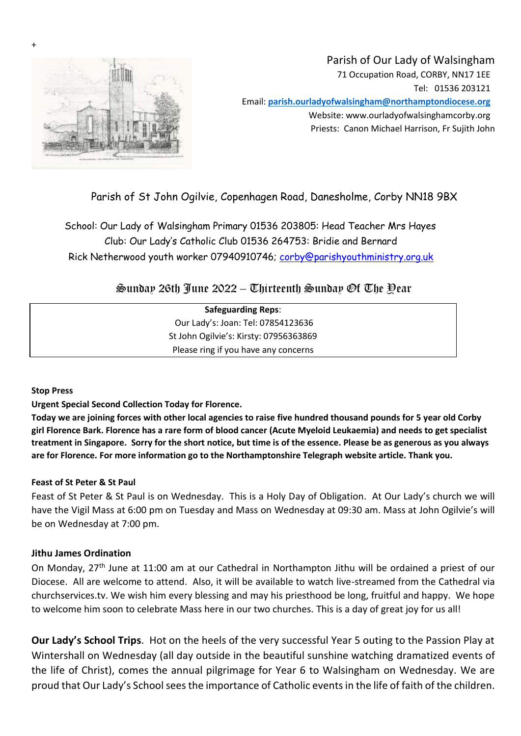

# Parish of Our Lady of Walsingham 71 Occupation Road, CORBY, NN17 1EE Tel: 01536 203121 Email: **parish.ourladyofwalsingham@northamptondiocese.org** Website: www.ourladyofwalsinghamcorby.org Priests: Canon Michael Harrison, Fr Sujith John

# Parish of St John Ogilvie, Copenhagen Road, Danesholme, Corby NN18 9BX

School: Our Lady of Walsingham Primary 01536 203805: Head Teacher Mrs Hayes Club: Our Lady's Catholic Club 01536 264753: Bridie and Bernard Rick Netherwood youth worker 07940910746; corby@parishyouthministry.org.uk

# $\mathfrak{S}$ unday 26th Iune 2022 – Thirteenth  $\mathfrak{S}$ unday Of The Pear

| <b>Safeguarding Reps:</b>              |
|----------------------------------------|
| Our Lady's: Joan: Tel: 07854123636     |
| St John Ogilvie's: Kirsty: 07956363869 |
| Please ring if you have any concerns   |

**Stop Press**

+

**Urgent Special Second Collection Today for Florence.**

**Today we are joining forces with other local agencies to raise five hundred thousand pounds for 5 year old Corby girl Florence Bark. Florence has a rare form of blood cancer (Acute Myeloid Leukaemia) and needs to get specialist treatment in Singapore. Sorry for the short notice, but time is of the essence. Please be as generous as you always are for Florence. For more information go to the Northamptonshire Telegraph website article. Thank you.**

#### **Feast of St Peter & St Paul**

Feast of St Peter & St Paul is on Wednesday. This is a Holy Day of Obligation. At Our Lady's church we will have the Vigil Mass at 6:00 pm on Tuesday and Mass on Wednesday at 09:30 am. Mass at John Ogilvie's will be on Wednesday at 7:00 pm.

#### **Jithu James Ordination**

On Monday, 27<sup>th</sup> June at 11:00 am at our Cathedral in Northampton Jithu will be ordained a priest of our Diocese. All are welcome to attend. Also, it will be available to watch live-streamed from the Cathedral via churchservices.tv. We wish him every blessing and may his priesthood be long, fruitful and happy. We hope to welcome him soon to celebrate Mass here in our two churches. This is a day of great joy for us all!

**Our Lady's School Trips**. Hot on the heels of the very successful Year 5 outing to the Passion Play at Wintershall on Wednesday (all day outside in the beautiful sunshine watching dramatized events of the life of Christ), comes the annual pilgrimage for Year 6 to Walsingham on Wednesday. We are proud that Our Lady's School sees the importance of Catholic events in the life of faith of the children.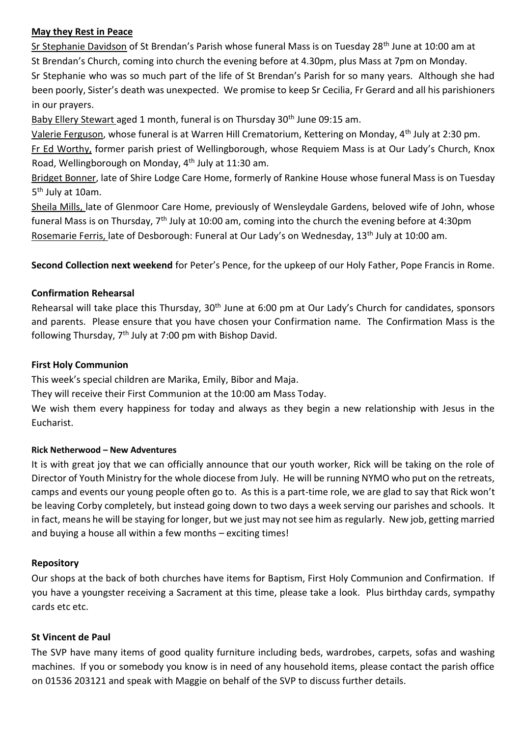#### **May they Rest in Peace**

Sr Stephanie Davidson of St Brendan's Parish whose funeral Mass is on Tuesday 28<sup>th</sup> June at 10:00 am at St Brendan's Church, coming into church the evening before at 4.30pm, plus Mass at 7pm on Monday. Sr Stephanie who was so much part of the life of St Brendan's Parish for so many years. Although she had been poorly, Sister's death was unexpected. We promise to keep Sr Cecilia, Fr Gerard and all his parishioners in our prayers.

Baby Ellery Stewart aged 1 month, funeral is on Thursday 30<sup>th</sup> June 09:15 am.

Valerie Ferguson, whose funeral is at Warren Hill Crematorium, Kettering on Monday, 4<sup>th</sup> July at 2:30 pm. Fr Ed Worthy, former parish priest of Wellingborough, whose Requiem Mass is at Our Lady's Church, Knox Road, Wellingborough on Monday, 4th July at 11:30 am.

Bridget Bonner, late of Shire Lodge Care Home, formerly of Rankine House whose funeral Mass is on Tuesday 5<sup>th</sup> July at 10am.

Sheila Mills, late of Glenmoor Care Home, previously of Wensleydale Gardens, beloved wife of John, whose funeral Mass is on Thursday, 7<sup>th</sup> July at 10:00 am, coming into the church the evening before at 4:30pm Rosemarie Ferris, late of Desborough: Funeral at Our Lady's on Wednesday, 13th July at 10:00 am.

**Second Collection next weekend** for Peter's Pence, for the upkeep of our Holy Father, Pope Francis in Rome.

## **Confirmation Rehearsal**

Rehearsal will take place this Thursday, 30<sup>th</sup> June at 6:00 pm at Our Lady's Church for candidates, sponsors and parents. Please ensure that you have chosen your Confirmation name. The Confirmation Mass is the following Thursday, 7<sup>th</sup> July at 7:00 pm with Bishop David.

#### **First Holy Communion**

This week's special children are Marika, Emily, Bibor and Maja.

They will receive their First Communion at the 10:00 am Mass Today.

We wish them every happiness for today and always as they begin a new relationship with Jesus in the Eucharist.

#### **Rick Netherwood – New Adventures**

It is with great joy that we can officially announce that our youth worker, Rick will be taking on the role of Director of Youth Ministry for the whole diocese from July. He will be running NYMO who put on the retreats, camps and events our young people often go to. As this is a part-time role, we are glad to say that Rick won't be leaving Corby completely, but instead going down to two days a week serving our parishes and schools. It in fact, means he will be staying for longer, but we just may not see him as regularly. New job, getting married and buying a house all within a few months – exciting times!

## **Repository**

Our shops at the back of both churches have items for Baptism, First Holy Communion and Confirmation. If you have a youngster receiving a Sacrament at this time, please take a look. Plus birthday cards, sympathy cards etc etc.

#### **St Vincent de Paul**

The SVP have many items of good quality furniture including beds, wardrobes, carpets, sofas and washing machines. If you or somebody you know is in need of any household items, please contact the parish office on 01536 203121 and speak with Maggie on behalf of the SVP to discuss further details.